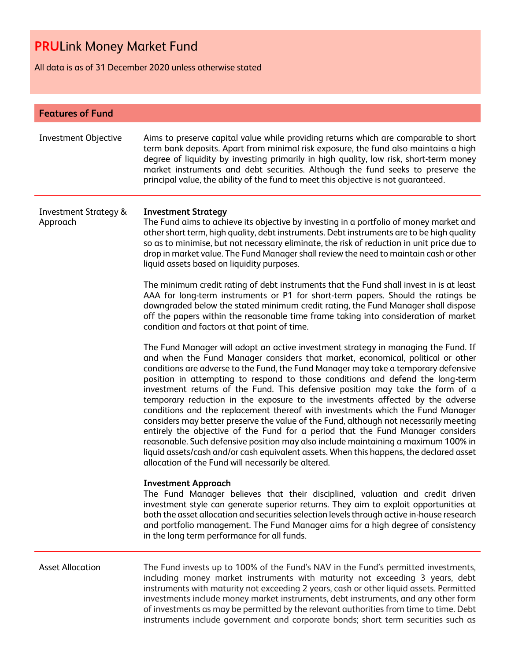All data is as of 31 December 2020 unless otherwise stated

| <b>Features of Fund</b>                      |                                                                                                                                                                                                                                                                                                                                                                                                                                                                                                                                                                                                                                                                                                                                                                                                                                                                                                                                                                                                                          |  |  |
|----------------------------------------------|--------------------------------------------------------------------------------------------------------------------------------------------------------------------------------------------------------------------------------------------------------------------------------------------------------------------------------------------------------------------------------------------------------------------------------------------------------------------------------------------------------------------------------------------------------------------------------------------------------------------------------------------------------------------------------------------------------------------------------------------------------------------------------------------------------------------------------------------------------------------------------------------------------------------------------------------------------------------------------------------------------------------------|--|--|
| Investment Objective                         | Aims to preserve capital value while providing returns which are comparable to short<br>term bank deposits. Apart from minimal risk exposure, the fund also maintains a high<br>degree of liquidity by investing primarily in high quality, low risk, short-term money<br>market instruments and debt securities. Although the fund seeks to preserve the<br>principal value, the ability of the fund to meet this objective is not guaranteed.                                                                                                                                                                                                                                                                                                                                                                                                                                                                                                                                                                          |  |  |
| <b>Investment Strategy &amp;</b><br>Approach | <b>Investment Strategy</b><br>The Fund aims to achieve its objective by investing in a portfolio of money market and<br>other short term, high quality, debt instruments. Debt instruments are to be high quality<br>so as to minimise, but not necessary eliminate, the risk of reduction in unit price due to<br>drop in market value. The Fund Manager shall review the need to maintain cash or other<br>liquid assets based on liquidity purposes.                                                                                                                                                                                                                                                                                                                                                                                                                                                                                                                                                                  |  |  |
|                                              | The minimum credit rating of debt instruments that the Fund shall invest in is at least<br>AAA for long-term instruments or P1 for short-term papers. Should the ratings be<br>downgraded below the stated minimum credit rating, the Fund Manager shall dispose<br>off the papers within the reasonable time frame taking into consideration of market<br>condition and factors at that point of time.                                                                                                                                                                                                                                                                                                                                                                                                                                                                                                                                                                                                                  |  |  |
|                                              | The Fund Manager will adopt an active investment strategy in managing the Fund. If<br>and when the Fund Manager considers that market, economical, political or other<br>conditions are adverse to the Fund, the Fund Manager may take a temporary defensive<br>position in attempting to respond to those conditions and defend the long-term<br>investment returns of the Fund. This defensive position may take the form of a<br>temporary reduction in the exposure to the investments affected by the adverse<br>conditions and the replacement thereof with investments which the Fund Manager<br>considers may better preserve the value of the Fund, although not necessarily meeting<br>entirely the objective of the Fund for a period that the Fund Manager considers<br>reasonable. Such defensive position may also include maintaining a maximum 100% in<br>liquid assets/cash and/or cash equivalent assets. When this happens, the declared asset<br>allocation of the Fund will necessarily be altered. |  |  |
|                                              | <b>Investment Approach</b><br>The Fund Manager believes that their disciplined, valuation and credit driven<br>investment style can generate superior returns. They aim to exploit opportunities at<br>both the asset allocation and securities selection levels through active in-house research<br>and portfolio management. The Fund Manager aims for a high degree of consistency<br>in the long term performance for all funds.                                                                                                                                                                                                                                                                                                                                                                                                                                                                                                                                                                                     |  |  |
| <b>Asset Allocation</b>                      | The Fund invests up to 100% of the Fund's NAV in the Fund's permitted investments,<br>including money market instruments with maturity not exceeding 3 years, debt<br>instruments with maturity not exceeding 2 years, cash or other liquid assets. Permitted<br>investments include money market instruments, debt instruments, and any other form<br>of investments as may be permitted by the relevant authorities from time to time. Debt<br>instruments include government and corporate bonds; short term securities such as                                                                                                                                                                                                                                                                                                                                                                                                                                                                                       |  |  |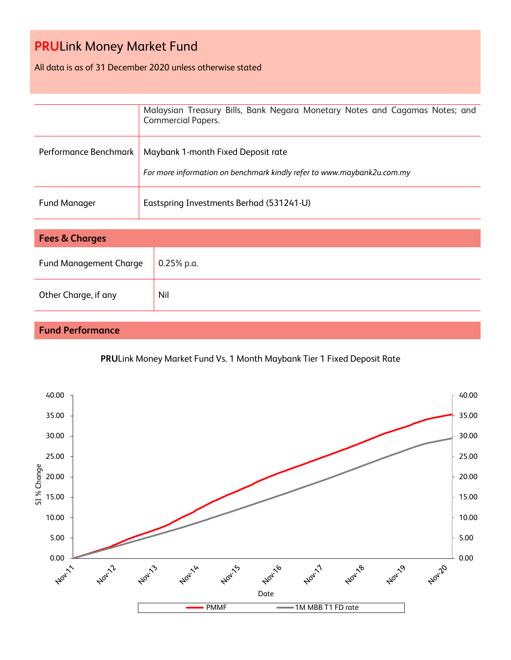All data is as of 31 December 2020 unless otherwise stated

|                       | Malaysian Treasury Bills, Bank Negara Monetary Notes and Cagamas Notes; and<br><b>Commercial Papers.</b>     |
|-----------------------|--------------------------------------------------------------------------------------------------------------|
| Performance Benchmark | Maybank 1-month Fixed Deposit rate<br>For more information on benchmark kindly refer to www.maybank2u.com.my |
| <b>Fund Manager</b>   | Eastspring Investments Berhad (531241-U)                                                                     |

| <b>Fees &amp; Charges</b>     |               |  |
|-------------------------------|---------------|--|
| <b>Fund Management Charge</b> | $10.25%$ p.a. |  |
| Other Charge, if any          | Nil           |  |

### **Fund Performance**

### **PRU**Link Money Market Fund Vs. 1 Month Maybank Tier 1 Fixed Deposit Rate

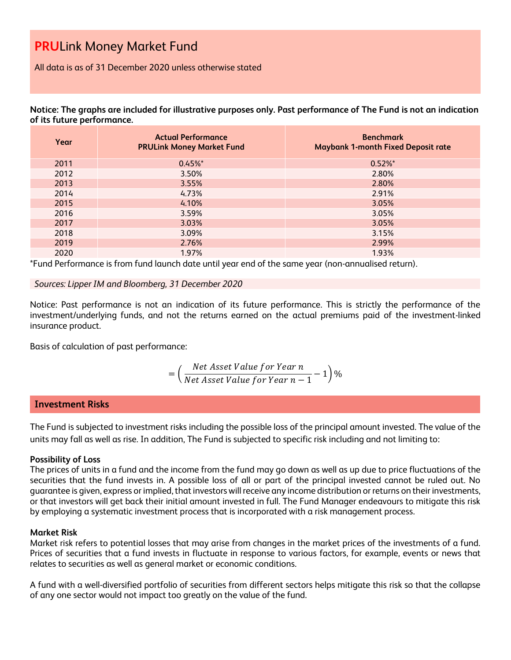All data is as of 31 December 2020 unless otherwise stated

**Notice: The graphs are included for illustrative purposes only. Past performance of The Fund is not an indication of its future performance.**

| Year | <b>Actual Performance</b><br><b>PRULink Money Market Fund</b> | <b>Benchmark</b><br><b>Maybank 1-month Fixed Deposit rate</b> |
|------|---------------------------------------------------------------|---------------------------------------------------------------|
| 2011 | $0.45%$ *                                                     | $0.52\%$ *                                                    |
| 2012 | 3.50%                                                         | 2.80%                                                         |
| 2013 | 3.55%                                                         | 2.80%                                                         |
| 2014 | 4.73%                                                         | 2.91%                                                         |
| 2015 | 4.10%                                                         | 3.05%                                                         |
| 2016 | 3.59%                                                         | 3.05%                                                         |
| 2017 | 3.03%                                                         | 3.05%                                                         |
| 2018 | 3.09%                                                         | 3.15%                                                         |
| 2019 | 2.76%                                                         | 2.99%                                                         |
| 2020 | 1.97%                                                         | 1.93%                                                         |

\*Fund Performance is from fund launch date until year end of the same year (non-annualised return).

#### *Sources: Lipper IM and Bloomberg, 31 December 2020*

Notice: Past performance is not an indication of its future performance. This is strictly the performance of the investment/underlying funds, and not the returns earned on the actual premiums paid of the investment-linked insurance product.

Basis of calculation of past performance:

$$
= \left(\frac{Net\text{ Asset Value for Year }n}{Net\text{ Asset Value for Year }n-1}-1\right)\%
$$

#### **Investment Risks**

The Fund is subjected to investment risks including the possible loss of the principal amount invested. The value of the units may fall as well as rise. In addition, The Fund is subjected to specific risk including and not limiting to:

#### **Possibility of Loss**

The prices of units in a fund and the income from the fund may go down as well as up due to price fluctuations of the securities that the fund invests in. A possible loss of all or part of the principal invested cannot be ruled out. No guarantee is given, express or implied, that investors will receive any income distribution or returns on their investments, or that investors will get back their initial amount invested in full. The Fund Manager endeavours to mitigate this risk by employing a systematic investment process that is incorporated with a risk management process.

#### **Market Risk**

Market risk refers to potential losses that may arise from changes in the market prices of the investments of a fund. Prices of securities that a fund invests in fluctuate in response to various factors, for example, events or news that relates to securities as well as general market or economic conditions.

A fund with a well-diversified portfolio of securities from different sectors helps mitigate this risk so that the collapse of any one sector would not impact too greatly on the value of the fund.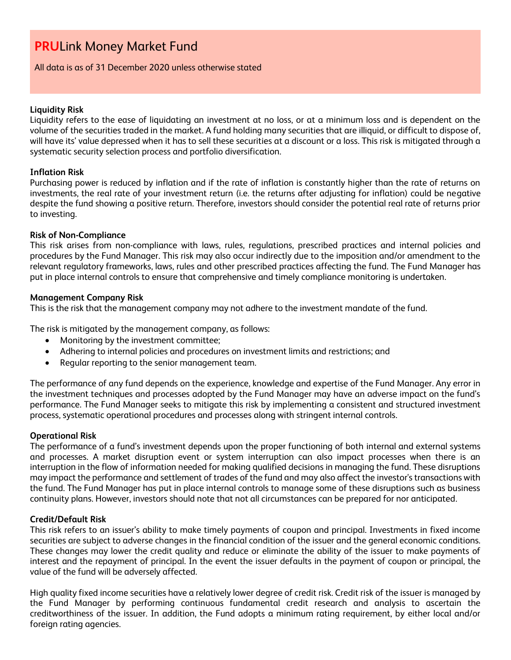All data is as of 31 December 2020 unless otherwise stated

#### **Liquidity Risk**

Liquidity refers to the ease of liquidating an investment at no loss, or at a minimum loss and is dependent on the volume of the securities traded in the market. A fund holding many securities that are illiquid, or difficult to dispose of, will have its' value depressed when it has to sell these securities at a discount or a loss. This risk is mitigated through a systematic security selection process and portfolio diversification.

#### **Inflation Risk**

Purchasing power is reduced by inflation and if the rate of inflation is constantly higher than the rate of returns on investments, the real rate of your investment return (i.e. the returns after adjusting for inflation) could be negative despite the fund showing a positive return. Therefore, investors should consider the potential real rate of returns prior to investing.

#### **Risk of Non-Compliance**

This risk arises from non-compliance with laws, rules, regulations, prescribed practices and internal policies and procedures by the Fund Manager. This risk may also occur indirectly due to the imposition and/or amendment to the relevant regulatory frameworks, laws, rules and other prescribed practices affecting the fund. The Fund Manager has put in place internal controls to ensure that comprehensive and timely compliance monitoring is undertaken.

#### **Management Company Risk**

This is the risk that the management company may not adhere to the investment mandate of the fund.

The risk is mitigated by the management company, as follows:

- Monitoring by the investment committee;
- Adhering to internal policies and procedures on investment limits and restrictions; and
- Regular reporting to the senior management team.

The performance of any fund depends on the experience, knowledge and expertise of the Fund Manager. Any error in the investment techniques and processes adopted by the Fund Manager may have an adverse impact on the fund's performance. The Fund Manager seeks to mitigate this risk by implementing a consistent and structured investment process, systematic operational procedures and processes along with stringent internal controls.

#### **Operational Risk**

The performance of a fund's investment depends upon the proper functioning of both internal and external systems and processes. A market disruption event or system interruption can also impact processes when there is an interruption in the flow of information needed for making qualified decisions in managing the fund. These disruptions may impact the performance and settlement of trades of the fund and may also affect the investor's transactions with the fund. The Fund Manager has put in place internal controls to manage some of these disruptions such as business continuity plans. However, investors should note that not all circumstances can be prepared for nor anticipated.

#### **Credit/Default Risk**

This risk refers to an issuer's ability to make timely payments of coupon and principal. Investments in fixed income securities are subject to adverse changes in the financial condition of the issuer and the general economic conditions. These changes may lower the credit quality and reduce or eliminate the ability of the issuer to make payments of interest and the repayment of principal. In the event the issuer defaults in the payment of coupon or principal, the value of the fund will be adversely affected.

High quality fixed income securities have a relatively lower degree of credit risk. Credit risk of the issuer is managed by the Fund Manager by performing continuous fundamental credit research and analysis to ascertain the creditworthiness of the issuer. In addition, the Fund adopts a minimum rating requirement, by either local and/or foreign rating agencies.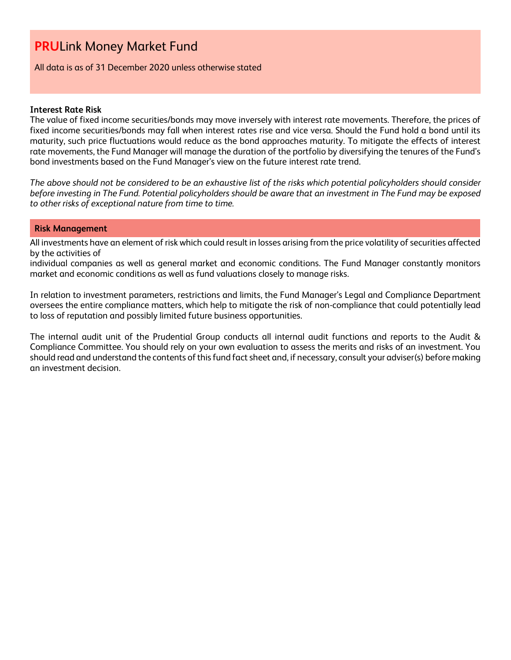All data is as of 31 December 2020 unless otherwise stated

#### **Interest Rate Risk**

The value of fixed income securities/bonds may move inversely with interest rate movements. Therefore, the prices of fixed income securities/bonds may fall when interest rates rise and vice versa. Should the Fund hold a bond until its maturity, such price fluctuations would reduce as the bond approaches maturity. To mitigate the effects of interest rate movements, the Fund Manager will manage the duration of the portfolio by diversifying the tenures of the Fund's bond investments based on the Fund Manager's view on the future interest rate trend.

*The above should not be considered to be an exhaustive list of the risks which potential policyholders should consider before investing in The Fund. Potential policyholders should be aware that an investment in The Fund may be exposed to other risks of exceptional nature from time to time.*

#### **Risk Management**

All investments have an element of risk which could result in losses arising from the price volatility of securities affected by the activities of

individual companies as well as general market and economic conditions. The Fund Manager constantly monitors market and economic conditions as well as fund valuations closely to manage risks.

In relation to investment parameters, restrictions and limits, the Fund Manager's Legal and Compliance Department oversees the entire compliance matters, which help to mitigate the risk of non-compliance that could potentially lead to loss of reputation and possibly limited future business opportunities.

The internal audit unit of the Prudential Group conducts all internal audit functions and reports to the Audit & Compliance Committee. You should rely on your own evaluation to assess the merits and risks of an investment. You should read and understand the contents of this fund fact sheet and, if necessary, consult your adviser(s) before making an investment decision.